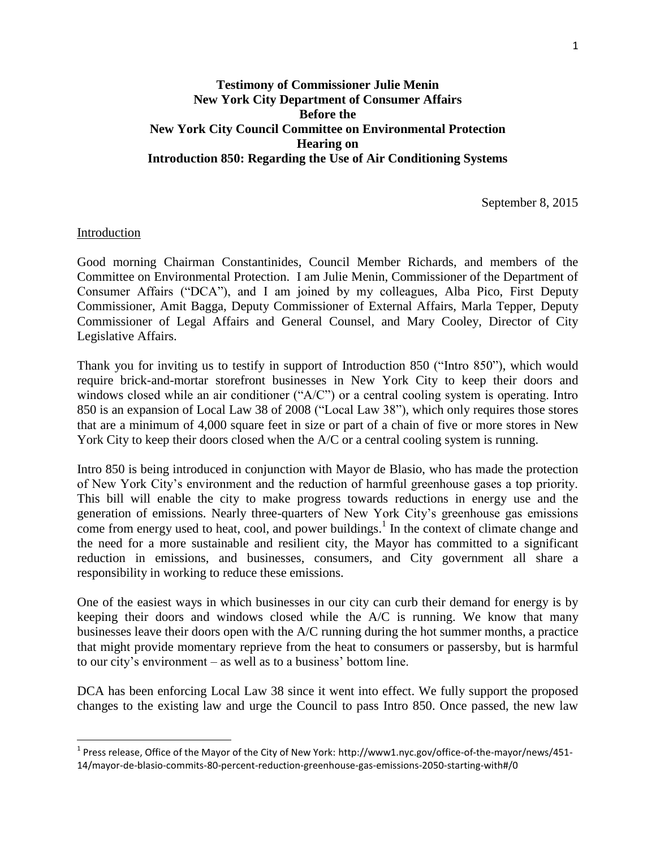# **Testimony of Commissioner Julie Menin New York City Department of Consumer Affairs Before the New York City Council Committee on Environmental Protection Hearing on Introduction 850: Regarding the Use of Air Conditioning Systems**

September 8, 2015

## Introduction

l

Good morning Chairman Constantinides, Council Member Richards, and members of the Committee on Environmental Protection. I am Julie Menin, Commissioner of the Department of Consumer Affairs ("DCA"), and I am joined by my colleagues, Alba Pico, First Deputy Commissioner, Amit Bagga, Deputy Commissioner of External Affairs, Marla Tepper, Deputy Commissioner of Legal Affairs and General Counsel, and Mary Cooley, Director of City Legislative Affairs.

Thank you for inviting us to testify in support of Introduction 850 ("Intro 850"), which would require brick-and-mortar storefront businesses in New York City to keep their doors and windows closed while an air conditioner ("A/C") or a central cooling system is operating. Intro 850 is an expansion of Local Law 38 of 2008 ("Local Law 38"), which only requires those stores that are a minimum of 4,000 square feet in size or part of a chain of five or more stores in New York City to keep their doors closed when the A/C or a central cooling system is running.

Intro 850 is being introduced in conjunction with Mayor de Blasio, who has made the protection of New York City's environment and the reduction of harmful greenhouse gases a top priority. This bill will enable the city to make progress towards reductions in energy use and the generation of emissions. Nearly three-quarters of New York City's greenhouse gas emissions come from energy used to heat, cool, and power buildings.<sup>1</sup> In the context of climate change and the need for a more sustainable and resilient city, the Mayor has committed to a significant reduction in emissions, and businesses, consumers, and City government all share a responsibility in working to reduce these emissions.

One of the easiest ways in which businesses in our city can curb their demand for energy is by keeping their doors and windows closed while the A/C is running. We know that many businesses leave their doors open with the  $A/C$  running during the hot summer months, a practice that might provide momentary reprieve from the heat to consumers or passersby, but is harmful to our city's environment – as well as to a business' bottom line.

DCA has been enforcing Local Law 38 since it went into effect. We fully support the proposed changes to the existing law and urge the Council to pass Intro 850. Once passed, the new law

 $^{\text{1}}$  Press release, Office of the Mayor of the City of New York: http://www1.nyc.gov/office-of-the-mayor/news/451-14/mayor-de-blasio-commits-80-percent-reduction-greenhouse-gas-emissions-2050-starting-with#/0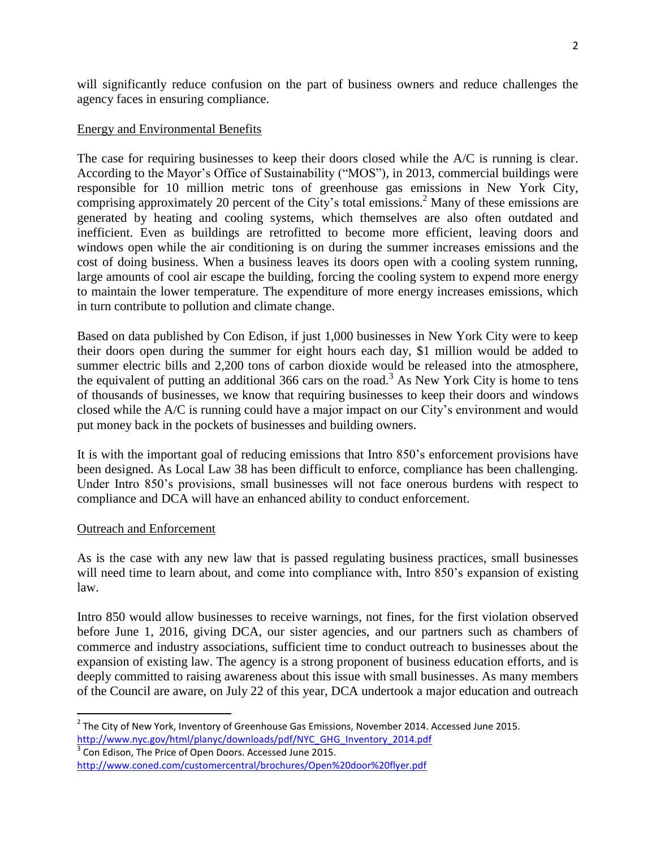will significantly reduce confusion on the part of business owners and reduce challenges the agency faces in ensuring compliance.

## Energy and Environmental Benefits

The case for requiring businesses to keep their doors closed while the A/C is running is clear. According to the Mayor's Office of Sustainability ("MOS"), in 2013, commercial buildings were responsible for 10 million metric tons of greenhouse gas emissions in New York City, comprising approximately 20 percent of the City's total emissions.<sup>2</sup> Many of these emissions are generated by heating and cooling systems, which themselves are also often outdated and inefficient. Even as buildings are retrofitted to become more efficient, leaving doors and windows open while the air conditioning is on during the summer increases emissions and the cost of doing business. When a business leaves its doors open with a cooling system running, large amounts of cool air escape the building, forcing the cooling system to expend more energy to maintain the lower temperature. The expenditure of more energy increases emissions, which in turn contribute to pollution and climate change.

Based on data published by Con Edison, if just 1,000 businesses in New York City were to keep their doors open during the summer for eight hours each day, \$1 million would be added to summer electric bills and 2,200 tons of carbon dioxide would be released into the atmosphere, the equivalent of putting an additional 366 cars on the road.<sup>3</sup> As New York City is home to tens of thousands of businesses, we know that requiring businesses to keep their doors and windows closed while the A/C is running could have a major impact on our City's environment and would put money back in the pockets of businesses and building owners.

It is with the important goal of reducing emissions that Intro 850's enforcement provisions have been designed. As Local Law 38 has been difficult to enforce, compliance has been challenging. Under Intro 850's provisions, small businesses will not face onerous burdens with respect to compliance and DCA will have an enhanced ability to conduct enforcement.

# Outreach and Enforcement

 $\overline{a}$ 

As is the case with any new law that is passed regulating business practices, small businesses will need time to learn about, and come into compliance with, Intro 850's expansion of existing law.

Intro 850 would allow businesses to receive warnings, not fines, for the first violation observed before June 1, 2016, giving DCA, our sister agencies, and our partners such as chambers of commerce and industry associations, sufficient time to conduct outreach to businesses about the expansion of existing law. The agency is a strong proponent of business education efforts, and is deeply committed to raising awareness about this issue with small businesses. As many members of the Council are aware, on July 22 of this year, DCA undertook a major education and outreach

 $3$  Con Edison, The Price of Open Doors. Accessed June 2015. <http://www.coned.com/customercentral/brochures/Open%20door%20flyer.pdf>

 $^2$  The City of New York, Inventory of Greenhouse Gas Emissions, November 2014. Accessed June 2015. [http://www.nyc.gov/html/planyc/downloads/pdf/NYC\\_GHG\\_Inventory\\_2014.pdf](http://www.nyc.gov/html/planyc/downloads/pdf/NYC_GHG_Inventory_2014.pdf)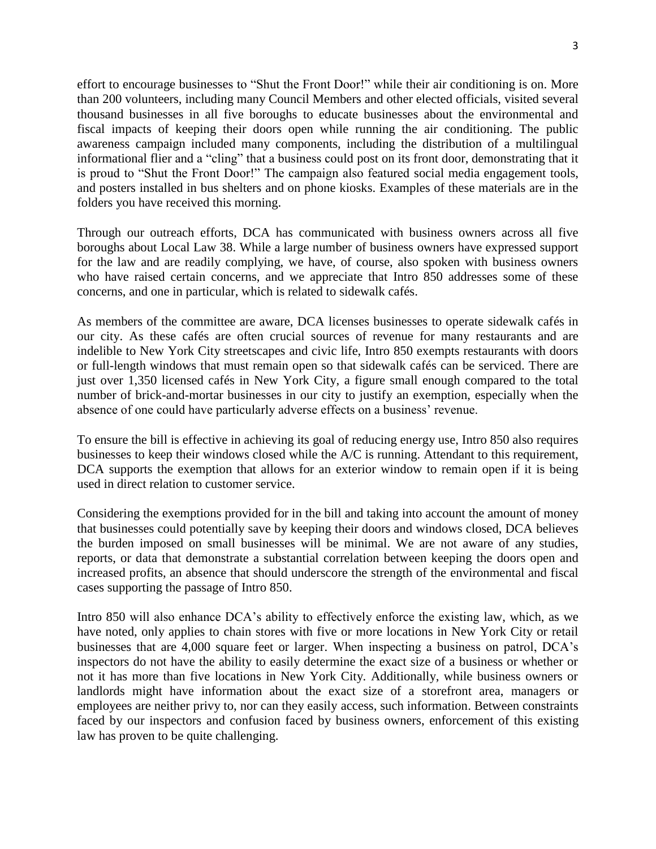effort to encourage businesses to "Shut the Front Door!" while their air conditioning is on. More than 200 volunteers, including many Council Members and other elected officials, visited several thousand businesses in all five boroughs to educate businesses about the environmental and fiscal impacts of keeping their doors open while running the air conditioning. The public awareness campaign included many components, including the distribution of a multilingual informational flier and a "cling" that a business could post on its front door, demonstrating that it is proud to "Shut the Front Door!" The campaign also featured social media engagement tools, and posters installed in bus shelters and on phone kiosks. Examples of these materials are in the folders you have received this morning.

Through our outreach efforts, DCA has communicated with business owners across all five boroughs about Local Law 38. While a large number of business owners have expressed support for the law and are readily complying, we have, of course, also spoken with business owners who have raised certain concerns, and we appreciate that Intro 850 addresses some of these concerns, and one in particular, which is related to sidewalk cafés.

As members of the committee are aware, DCA licenses businesses to operate sidewalk cafés in our city. As these cafés are often crucial sources of revenue for many restaurants and are indelible to New York City streetscapes and civic life, Intro 850 exempts restaurants with doors or full-length windows that must remain open so that sidewalk cafés can be serviced. There are just over 1,350 licensed cafés in New York City, a figure small enough compared to the total number of brick-and-mortar businesses in our city to justify an exemption, especially when the absence of one could have particularly adverse effects on a business' revenue.

To ensure the bill is effective in achieving its goal of reducing energy use, Intro 850 also requires businesses to keep their windows closed while the A/C is running. Attendant to this requirement, DCA supports the exemption that allows for an exterior window to remain open if it is being used in direct relation to customer service.

Considering the exemptions provided for in the bill and taking into account the amount of money that businesses could potentially save by keeping their doors and windows closed, DCA believes the burden imposed on small businesses will be minimal. We are not aware of any studies, reports, or data that demonstrate a substantial correlation between keeping the doors open and increased profits, an absence that should underscore the strength of the environmental and fiscal cases supporting the passage of Intro 850.

Intro 850 will also enhance DCA's ability to effectively enforce the existing law, which, as we have noted, only applies to chain stores with five or more locations in New York City or retail businesses that are 4,000 square feet or larger. When inspecting a business on patrol, DCA's inspectors do not have the ability to easily determine the exact size of a business or whether or not it has more than five locations in New York City. Additionally, while business owners or landlords might have information about the exact size of a storefront area, managers or employees are neither privy to, nor can they easily access, such information. Between constraints faced by our inspectors and confusion faced by business owners, enforcement of this existing law has proven to be quite challenging.